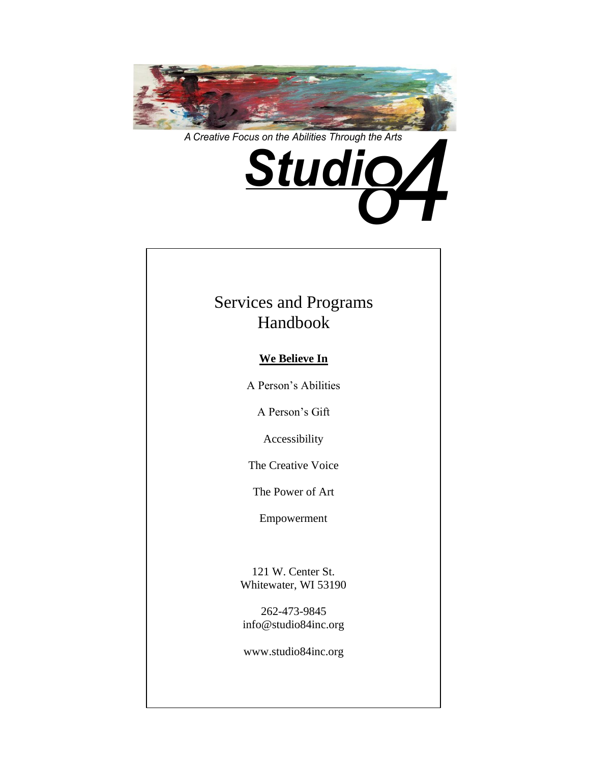

*A Creative Focus on the Abilities Through the Arts*



# Services and Programs Handbook

## **We Believe In**

A Person's Abilities

A Person's Gift

Accessibility

The Creative Voice

The Power of Art

Empowerment

121 W. Center St. Whitewater, WI 53190

262-473-9845 info@studio84inc.org

www.studio84inc.org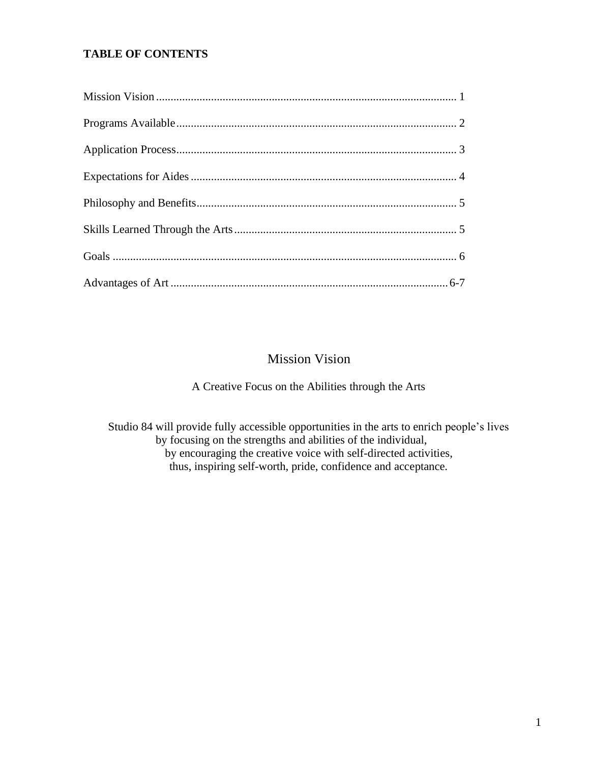### **TABLE OF CONTENTS**

# Mission Vision

A Creative Focus on the Abilities through the Arts

Studio 84 will provide fully accessible opportunities in the arts to enrich people's lives by focusing on the strengths and abilities of the individual, by encouraging the creative voice with self-directed activities, thus, inspiring self-worth, pride, confidence and acceptance.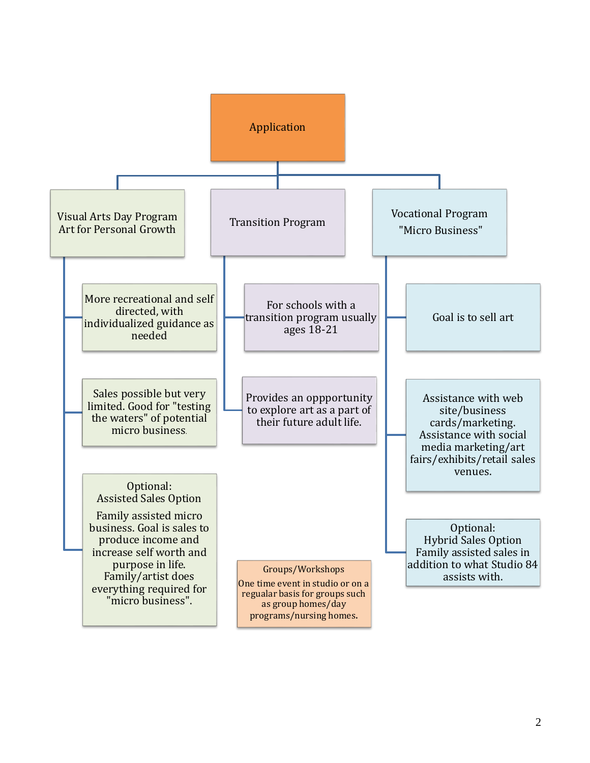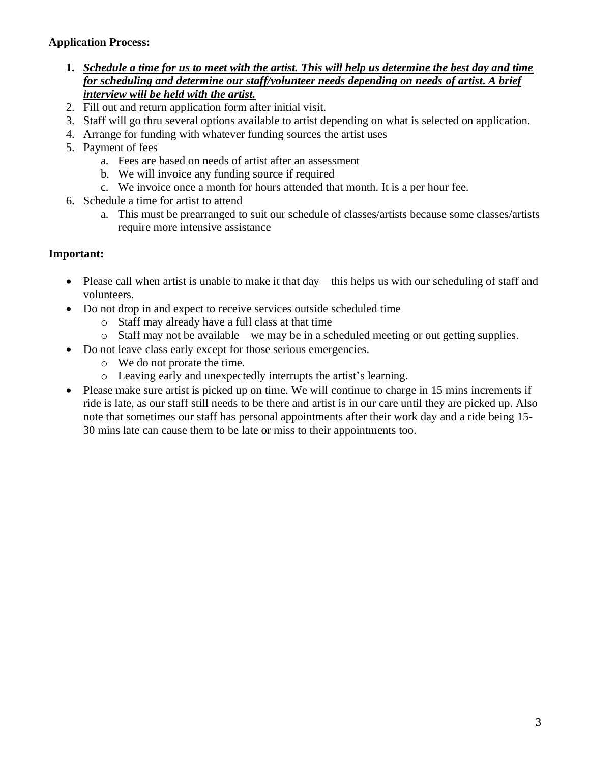### **Application Process:**

- **1.** *Schedule a time for us to meet with the artist. This will help us determine the best day and time for scheduling and determine our staff/volunteer needs depending on needs of artist***.** *A brief interview will be held with the artist.*
- 2. Fill out and return application form after initial visit.
- 3. Staff will go thru several options available to artist depending on what is selected on application.
- 4. Arrange for funding with whatever funding sources the artist uses
- 5. Payment of fees
	- a. Fees are based on needs of artist after an assessment
	- b. We will invoice any funding source if required
	- c. We invoice once a month for hours attended that month. It is a per hour fee.
- 6. Schedule a time for artist to attend
	- a. This must be prearranged to suit our schedule of classes/artists because some classes/artists require more intensive assistance

## **Important:**

- Please call when artist is unable to make it that day—this helps us with our scheduling of staff and volunteers.
- Do not drop in and expect to receive services outside scheduled time
	- o Staff may already have a full class at that time
	- o Staff may not be available—we may be in a scheduled meeting or out getting supplies.
- Do not leave class early except for those serious emergencies.
	- o We do not prorate the time.
	- o Leaving early and unexpectedly interrupts the artist's learning.
- Please make sure artist is picked up on time. We will continue to charge in 15 mins increments if ride is late, as our staff still needs to be there and artist is in our care until they are picked up. Also note that sometimes our staff has personal appointments after their work day and a ride being 15- 30 mins late can cause them to be late or miss to their appointments too.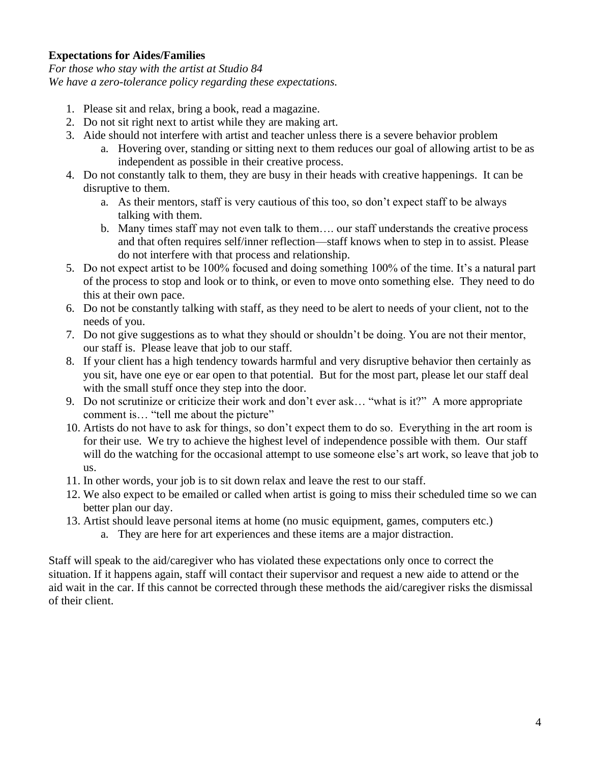#### **Expectations for Aides/Families**

*For those who stay with the artist at Studio 84 We have a zero-tolerance policy regarding these expectations.*

- 1. Please sit and relax, bring a book, read a magazine.
- 2. Do not sit right next to artist while they are making art.
- 3. Aide should not interfere with artist and teacher unless there is a severe behavior problem
	- a. Hovering over, standing or sitting next to them reduces our goal of allowing artist to be as independent as possible in their creative process.
- 4. Do not constantly talk to them, they are busy in their heads with creative happenings. It can be disruptive to them.
	- a. As their mentors, staff is very cautious of this too, so don't expect staff to be always talking with them.
	- b. Many times staff may not even talk to them…. our staff understands the creative process and that often requires self/inner reflection—staff knows when to step in to assist. Please do not interfere with that process and relationship.
- 5. Do not expect artist to be 100% focused and doing something 100% of the time. It's a natural part of the process to stop and look or to think, or even to move onto something else. They need to do this at their own pace.
- 6. Do not be constantly talking with staff, as they need to be alert to needs of your client, not to the needs of you.
- 7. Do not give suggestions as to what they should or shouldn't be doing. You are not their mentor, our staff is. Please leave that job to our staff.
- 8. If your client has a high tendency towards harmful and very disruptive behavior then certainly as you sit, have one eye or ear open to that potential. But for the most part, please let our staff deal with the small stuff once they step into the door.
- 9. Do not scrutinize or criticize their work and don't ever ask… "what is it?" A more appropriate comment is… "tell me about the picture"
- 10. Artists do not have to ask for things, so don't expect them to do so. Everything in the art room is for their use. We try to achieve the highest level of independence possible with them. Our staff will do the watching for the occasional attempt to use someone else's art work, so leave that job to us.
- 11. In other words, your job is to sit down relax and leave the rest to our staff.
- 12. We also expect to be emailed or called when artist is going to miss their scheduled time so we can better plan our day.
- 13. Artist should leave personal items at home (no music equipment, games, computers etc.)
	- a. They are here for art experiences and these items are a major distraction.

Staff will speak to the aid/caregiver who has violated these expectations only once to correct the situation. If it happens again, staff will contact their supervisor and request a new aide to attend or the aid wait in the car. If this cannot be corrected through these methods the aid/caregiver risks the dismissal of their client.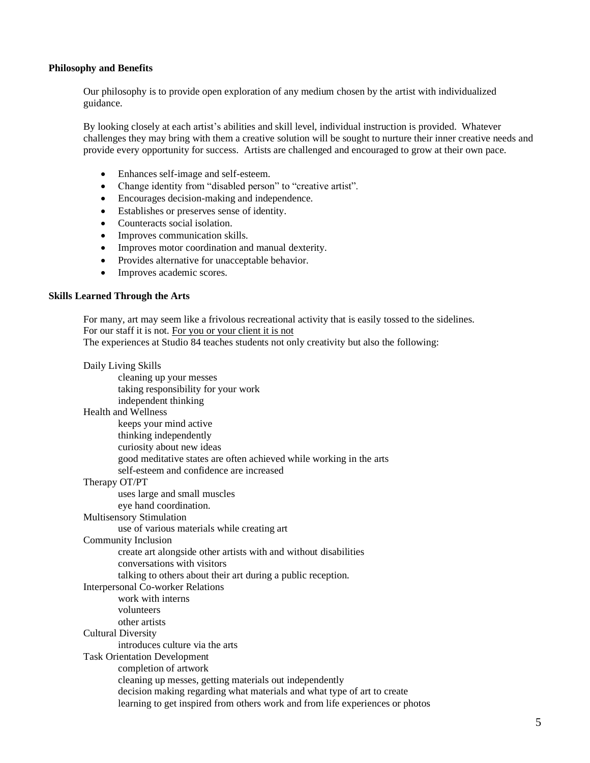#### **Philosophy and Benefits**

Our philosophy is to provide open exploration of any medium chosen by the artist with individualized guidance.

By looking closely at each artist's abilities and skill level, individual instruction is provided. Whatever challenges they may bring with them a creative solution will be sought to nurture their inner creative needs and provide every opportunity for success. Artists are challenged and encouraged to grow at their own pace.

- Enhances self-image and self-esteem.
- Change identity from "disabled person" to "creative artist".
- Encourages decision-making and independence.
- Establishes or preserves sense of identity.
- Counteracts social isolation.
- Improves communication skills.
- Improves motor coordination and manual dexterity.
- Provides alternative for unacceptable behavior.
- Improves academic scores.

#### **Skills Learned Through the Arts**

For many, art may seem like a frivolous recreational activity that is easily tossed to the sidelines. For our staff it is not. For you or your client it is not

The experiences at Studio 84 teaches students not only creativity but also the following:

| Daily Living Skills                                                           |
|-------------------------------------------------------------------------------|
| cleaning up your messes                                                       |
| taking responsibility for your work                                           |
| independent thinking                                                          |
| <b>Health and Wellness</b>                                                    |
| keeps your mind active                                                        |
| thinking independently                                                        |
| curiosity about new ideas                                                     |
| good meditative states are often achieved while working in the arts           |
| self-esteem and confidence are increased                                      |
| Therapy OT/PT                                                                 |
| uses large and small muscles                                                  |
| eye hand coordination.                                                        |
| <b>Multisensory Stimulation</b>                                               |
| use of various materials while creating art                                   |
| <b>Community Inclusion</b>                                                    |
| create art alongside other artists with and without disabilities              |
| conversations with visitors                                                   |
| talking to others about their art during a public reception.                  |
| <b>Interpersonal Co-worker Relations</b>                                      |
| work with interns                                                             |
| volunteers                                                                    |
| other artists                                                                 |
| <b>Cultural Diversity</b>                                                     |
| introduces culture via the arts                                               |
| <b>Task Orientation Development</b>                                           |
| completion of artwork                                                         |
| cleaning up messes, getting materials out independently                       |
| decision making regarding what materials and what type of art to create       |
| learning to get inspired from others work and from life experiences or photos |
|                                                                               |